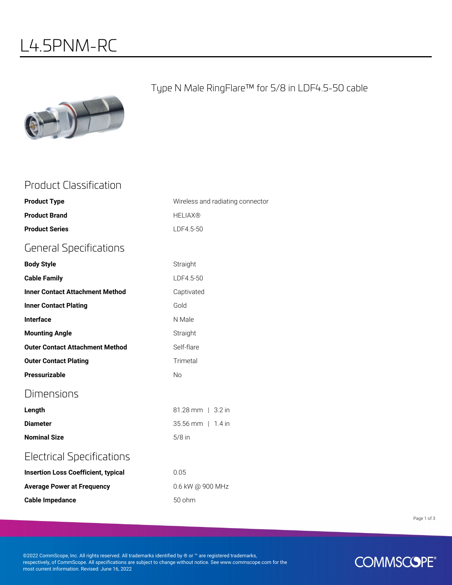## L4.5PNM-RC



### Type N Male RingFlare™ for 5/8 in LDF4.5-50 cable

#### Product Classification

| <b>Product Type</b>                        | Wireless and radiating connector |
|--------------------------------------------|----------------------------------|
| <b>Product Brand</b>                       | <b>HELIAX®</b>                   |
| <b>Product Series</b>                      | LDF4.5-50                        |
| <b>General Specifications</b>              |                                  |
| <b>Body Style</b>                          | Straight                         |
| <b>Cable Family</b>                        | LDF4.5-50                        |
| <b>Inner Contact Attachment Method</b>     | Captivated                       |
| <b>Inner Contact Plating</b>               | Gold                             |
| <b>Interface</b>                           | N Male                           |
| <b>Mounting Angle</b>                      | Straight                         |
| <b>Outer Contact Attachment Method</b>     | Self-flare                       |
| <b>Outer Contact Plating</b>               | Trimetal                         |
| Pressurizable                              | No                               |
| Dimensions                                 |                                  |
| Length                                     | 81.28 mm   3.2 in                |
| <b>Diameter</b>                            | 35.56 mm   1.4 in                |
| <b>Nominal Size</b>                        | $5/8$ in                         |
| <b>Electrical Specifications</b>           |                                  |
| <b>Insertion Loss Coefficient, typical</b> | 0.05                             |
| <b>Average Power at Frequency</b>          | 0.6 kW @ 900 MHz                 |
| <b>Cable Impedance</b>                     | 50 ohm                           |

Page 1 of 3

©2022 CommScope, Inc. All rights reserved. All trademarks identified by ® or ™ are registered trademarks, respectively, of CommScope. All specifications are subject to change without notice. See www.commscope.com for the most current information. Revised: June 16, 2022

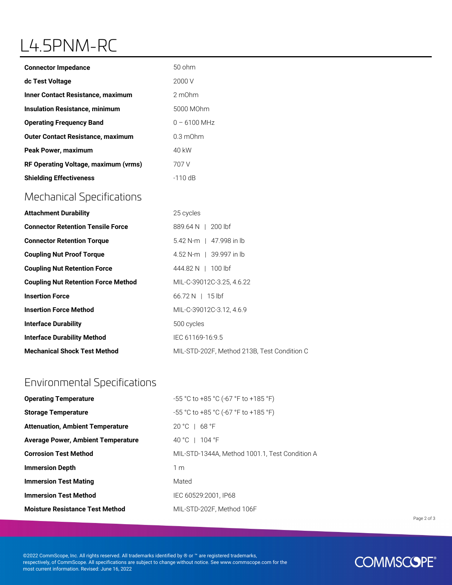# L4.5PNM-RC

| <b>Connector Impedance</b>               | $50$ ohm           |
|------------------------------------------|--------------------|
| dc Test Voltage                          | 2000 V             |
| Inner Contact Resistance, maximum        | $2 \text{ mOhm}$   |
| <b>Insulation Resistance, minimum</b>    | 5000 MOhm          |
| <b>Operating Freguency Band</b>          | $0 - 6100$ MHz     |
| <b>Outer Contact Resistance, maximum</b> | $0.3 \text{ mOhm}$ |
| Peak Power, maximum                      | 40 kW              |
| RF Operating Voltage, maximum (vrms)     | 707 V              |
| <b>Shielding Effectiveness</b>           | $-110$ dB          |

## Mechanical Specifications

| <b>Attachment Durability</b>               | 25 cycles                                   |
|--------------------------------------------|---------------------------------------------|
| <b>Connector Retention Tensile Force</b>   | 889.64 N   200 lbf                          |
| <b>Connector Retention Torque</b>          | 5.42 N-m   47.998 in lb                     |
| <b>Coupling Nut Proof Torque</b>           | 4.52 N-m   39.997 in lb                     |
| <b>Coupling Nut Retention Force</b>        | 444.82 N   100 lbf                          |
| <b>Coupling Nut Retention Force Method</b> | MIL-C-39012C-3.25, 4.6.22                   |
| <b>Insertion Force</b>                     | $66.72 N$   15 lbf                          |
| <b>Insertion Force Method</b>              | MIL-C-39012C-3.12, 4.6.9                    |
| <b>Interface Durability</b>                | 500 cycles                                  |
| <b>Interface Durability Method</b>         | IEC 61169-16:9.5                            |
| <b>Mechanical Shock Test Method</b>        | MIL-STD-202F, Method 213B, Test Condition C |

### Environmental Specifications

| <b>Operating Temperature</b>              | -55 °C to +85 °C (-67 °F to +185 °F)           |
|-------------------------------------------|------------------------------------------------|
| <b>Storage Temperature</b>                | $-55$ °C to +85 °C (-67 °F to +185 °F)         |
| <b>Attenuation, Ambient Temperature</b>   | $20 °C + 68 °F$                                |
| <b>Average Power, Ambient Temperature</b> | 40 °C 1 104 °F                                 |
| <b>Corrosion Test Method</b>              | MIL-STD-1344A, Method 1001.1, Test Condition A |
| <b>Immersion Depth</b>                    | 1 <sub>m</sub>                                 |
| <b>Immersion Test Mating</b>              | Mated                                          |
| <b>Immersion Test Method</b>              | IEC 60529:2001. IP68                           |
| <b>Moisture Resistance Test Method</b>    | MIL-STD-202F. Method 106F                      |

Page 2 of 3

©2022 CommScope, Inc. All rights reserved. All trademarks identified by ® or ™ are registered trademarks, respectively, of CommScope. All specifications are subject to change without notice. See www.commscope.com for the most current information. Revised: June 16, 2022